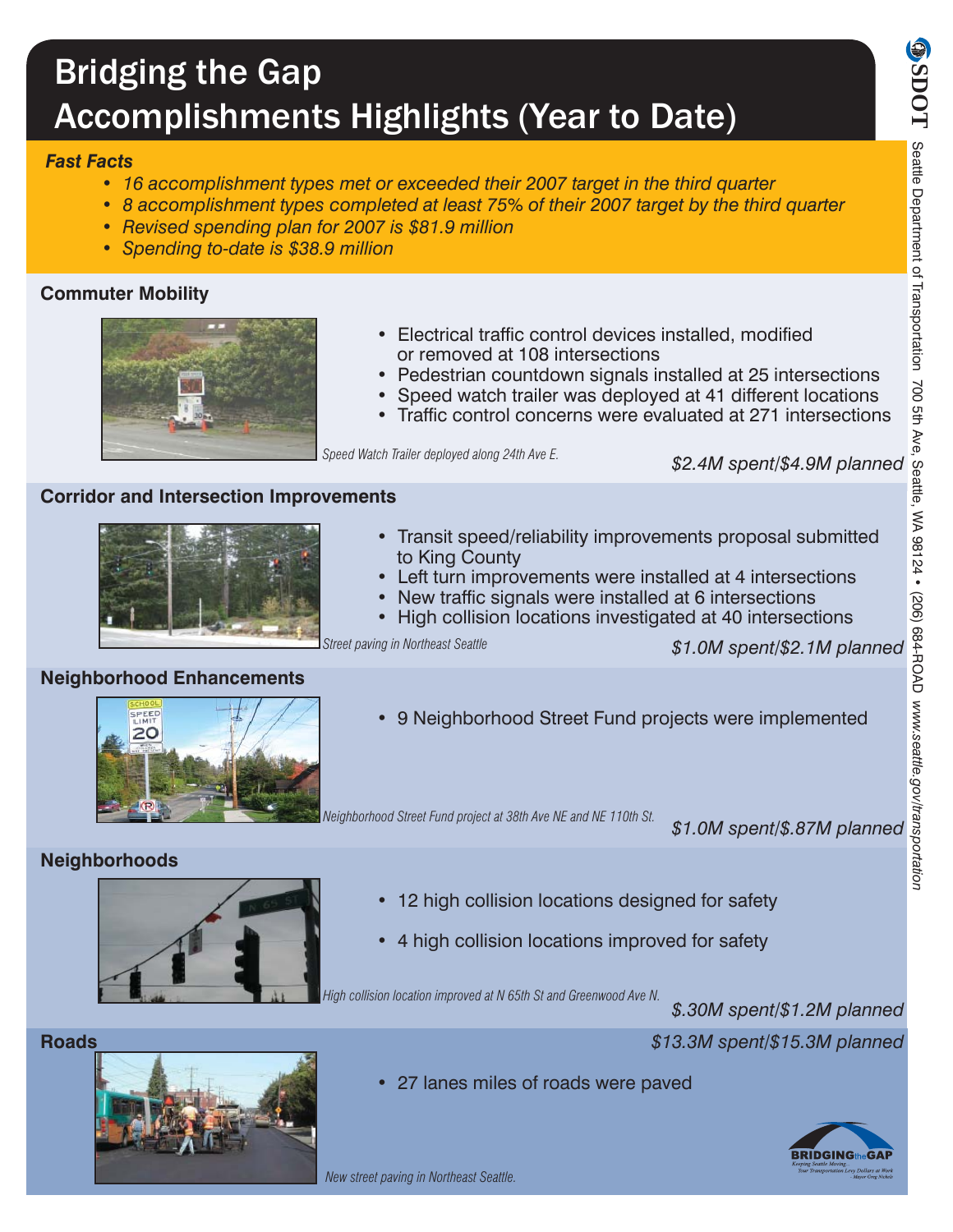# Bridging the Gap Accomplishments Highlights (Year to Date)

### *Fast Facts*

- *16 accomplishment types met or exceeded their 2007 target in the third quarter*
- *8 accomplishment types completed at least 75% of their 2007 target by the third quarter*
- *Revised spending plan for 2007 is \$81.9 million*
- *Spending to-date is \$38.9 million*

### **Commuter Mobility**



- Electrical traffic control devices installed, modified or removed at 108 intersections
- Pedestrian countdown signals installed at 25 intersections
- Speed watch trailer was deployed at 41 different locations
- Traffic control concerns were evaluated at 271 intersections

*Speed Watch Trailer deployed along 24th Ave E.*

#### **Corridor and Intersection Improvements**



- Transit speed/reliability improvements proposal submitted to King County
- Left turn improvements were installed at 4 intersections
- New traffic signals were installed at 6 intersections
	- High collision locations investigated at 40 intersections

*Street paving in Northeast Seattle*

#### *\$1.0M spent/\$2.1M planned*



**Neighborhood Enhancements**

**Neighborhoods**

**EXERCISE RESERVE THE VIOLET STATE OF STATE OF STATE OF STATE OF STATE OF STATE OF STATE OF STATE OF STATE OF S** 

*Neighborhood Street Fund project at 38th Ave NE and NE 110th St.*

*\$1.0M spent/\$.87M planned*



- 12 high collision locations designed for safety
- 4 high collision locations improved for safety

*High collision location improved at N 65th St and Greenwood Ave N.*

*\$.30M spent/\$1.2M planned*

*\$13.3M spent/\$15.3M planned*

• 27 lanes miles of roads were paved





*New street paving in Northeast Seattle.*